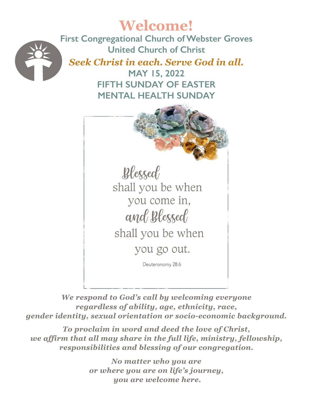

*We respond to God's call by welcoming everyone regardless of ability, age, ethnicity, race, gender identity, sexual orientation or socio-economic background.*

*To proclaim in word and deed the love of Christ, we affirm that all may share in the full life, ministry, fellowship, responsibilities and blessing of our congregation.* 

> *No matter who you are or where you are on life's journey, you are welcome here.*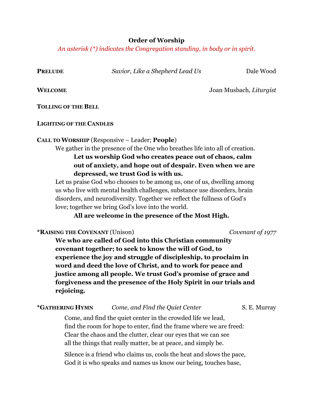#### **Order of Worship**

*An asterisk (\*) indicates the Congregation standing, in body or in spirit.*

**PRELUDE** *Savior, Like a Shepherd Lead Us* Dale Wood

**WELCOME** Joan Musbach, *Liturgist*

**TOLLING OF THE BELL**

**LIGHTING OF THE CANDLES** 

### **CALL TO WORSHIP** (Responsive – Leader; **People**)

We gather in the presence of the One who breathes life into all of creation. **Let us worship God who creates peace out of chaos, calm out of anxiety, and hope out of despair. Even when we are depressed, we trust God is with us.**

Let us praise God who chooses to be among us, one of us, dwelling among us who live with mental health challenges, substance use disorders, brain disorders, and neurodiversity. Together we reflect the fullness of God's love; together we bring God's love into the world.

# **All are welcome in the presence of the Most High.**

**\*RAISING THE COVENANT** (Unison) *Covenant of 1977*

**We who are called of God into this Christian community covenant together; to seek to know the will of God, to experience the joy and struggle of discipleship, to proclaim in word and deed the love of Christ, and to work for peace and justice among all people. We trust God's promise of grace and forgiveness and the presence of the Holy Spirit in our trials and rejoicing.** 

# **\*GATHERING HYMN** *Come, and Find the Quiet Center* S. E. Murray

Come, and find the quiet center in the crowded life we lead, find the room for hope to enter, find the frame where we are freed: Clear the chaos and the clutter, clear our eyes that we can see all the things that really matter, be at peace, and simply be.

Silence is a friend who claims us, cools the heat and slows the pace, God it is who speaks and names us know our being, touches base,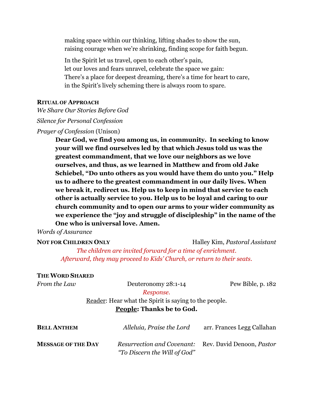making space within our thinking, lifting shades to show the sun, raising courage when we're shrinking, finding scope for faith begun.

In the Spirit let us travel, open to each other's pain, let our loves and fears unravel, celebrate the space we gain: There's a place for deepest dreaming, there's a time for heart to care, in the Spirit's lively scheming there is always room to spare.

#### **RITUAL OF APPROACH**

*We Share Our Stories Before God*

*Silence for Personal Confession*

#### *Prayer of Confession* (Unison)

**Dear God, we find you among us, in community. In seeking to know your will we find ourselves led by that which Jesus told us was the greatest commandment, that we love our neighbors as we love ourselves, and thus, as we learned in Matthew and from old Jake Schiebel, "Do unto others as you would have them do unto you." Help us to adhere to the greatest commandment in our daily lives. When we break it, redirect us. Help us to keep in mind that service to each other is actually service to you. Help us to be loyal and caring to our church community and to open our arms to your wider community as we experience the "joy and struggle of discipleship" in the name of the One who is universal love. Amen.**

### *Words of Assurance*

**NOT FOR CHILDREN ONLY** Halley Kim, *Pastoral Assistant*

*The children are invited forward for a time of enrichment. Afterward, they may proceed to Kids' Church, or return to their seats.*

#### **THE WORD SHARED**

| From the Law              | Deuteronomy 28:1-14                                   | Pew Bible, p. 182          |
|---------------------------|-------------------------------------------------------|----------------------------|
|                           | Response.                                             |                            |
|                           | Reader: Hear what the Spirit is saying to the people. |                            |
|                           | <b>People: Thanks be to God.</b>                      |                            |
| <b>BELL ANTHEM</b>        | Alleluia, Praise the Lord                             | arr. Frances Legg Callahan |
| <b>MESSAGE OF THE DAY</b> | Resurrection and Covenant: Rev. David Denoon, Pastor  |                            |

*"To Discern the Will of God"*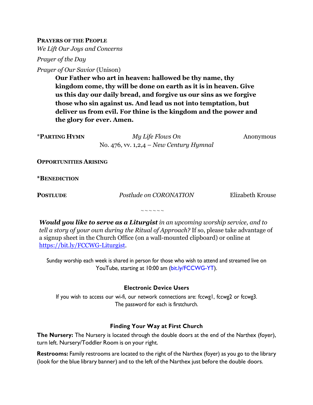**PRAYERS OF THE PEOPLE**

*We Lift Our Joys and Concerns*

*Prayer of the Day*

*Prayer of Our Savior* (Unison)

**Our Father who art in heaven: hallowed be thy name, thy kingdom come, thy will be done on earth as it is in heaven. Give us this day our daily bread, and forgive us our sins as we forgive those who sin against us. And lead us not into temptation, but deliver us from evil. For thine is the kingdom and the power and the glory for ever. Amen.**

*My Life Flows On* Anonymous No. 476, vv. 1,2,4 – *New Century Hymnal*

**OPPORTUNITIES ARISING**

**\*BENEDICTION**

**POSTLUDE** *Postlude on CORONATION* Elizabeth Krouse

 $\sim$   $\sim$   $\sim$   $\sim$   $\sim$ 

*Would you like to serve as a Liturgist in an upcoming worship service, and to tell a story of your own during the Ritual of Approach?* If so, please take advantage of a signup sheet in the Church Office (on a wall-mounted clipboard) or online at https://bit.ly/FCCWG-Liturgist.

Sunday worship each week is shared in person for those who wish to attend and streamed live on YouTube, starting at 10:00 am (bit.ly/FCCWG-YT).

#### **Electronic Device Users**

If you wish to access our wi-fi, our network connections are: fccwg1, fccwg2 or fccwg3. The password for each is firstchurch.

#### **Finding Your Way at First Church**

**The Nursery:** The Nursery is located through the double doors at the end of the Narthex (foyer), turn left. Nursery/Toddler Room is on your right.

**Restrooms:** Family restrooms are located to the right of the Narthex (foyer) as you go to the library (look for the blue library banner) and to the left of the Narthex just before the double doors.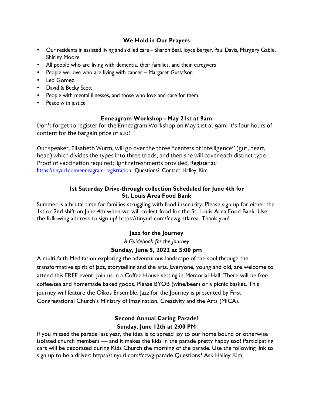#### **We Hold in Our Prayers**

- Our residents in assisted living and skilled care Sharon Beal, Joyce Berger, Paul Davis, Margery Gable, Shirley Moore
- All people who are living with dementia, their families, and their caregivers
- People we love who are living with cancer Margaret Gustafson
- Leo Gomez
- David & Becky Scott
- People with mental illnesses, and those who love and care for them
- Peace with justice

#### **Enneagram Workshop - May 21st at 9am**

Don't forget to register for the Enneagram Workshop on May 21st at 9am! It's four hours of content for the bargain price of \$20!

Our speaker, Elisabeth Wurm, will go over the three "centers of intelligence" (gut, heart, head) which divides the types into three triads, and then she will cover each distinct type. Proof of vaccination required; light refreshments provided. Register at: https://tinyurl.com/enneagram-registration. Questions? Contact Halley Kim.

## **1st Saturday Drive-through collection Scheduled for June 4th for St. Louis Area Food Bank**

Summer is a brutal time for families struggling with food insecurity. Please sign up for either the 1st or 2nd shift on June 4th when we will collect food for the St. Louis Area Food Bank. Use the following address to sign up! https://tinyurl.com/fccwg-stlarea. Thank you!

# **Jazz for the Journey**

*A Guidebook for the Journey*

# **Sunday, June 5, 2022 at 5:00 pm**

A multi-faith Meditation exploring the adventurous landscape of the soul through the transformative spirit of jazz, storytelling and the arts. Everyone, young and old, are welcome to attend this FREE event. Join us in a Coffee House setting in Memorial Hall. There will be free coffee/tea and homemade baked goods. Please BYOB (wine/beer) or a picnic basket. This journey will feature the Oîkos Ensemble. Jazz for the Journey is presented by First Congregational Church's Ministry of Imagination, Creativity and the Arts (MICA).

# **Second Annual Caring Parade! Sunday, June 12th at 2:00 PM**

If you missed the parade last year, the idea is to spread joy to our home bound or otherwise isolated church members — and it makes the kids in the parade pretty happy too! Participating cars will be decorated during Kids Church the morning of the parade. Use the following link to sign up to be a driver: https://tinyurl.com/fccwg-parade Questions? Ask Halley Kim.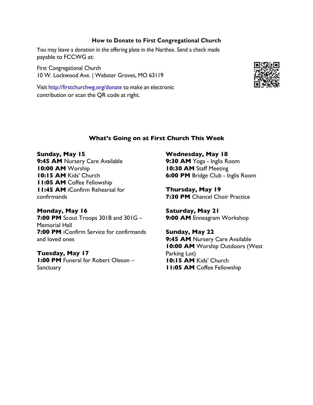#### **How to Donate to First Congregational Church**

You may leave a donation in the offering plate in the Narthex. Send a check made payable to FCCWG at:

First Congregational Church 10 W. Lockwood Ave. | Webster Groves, MO 63119

Visit http://firstchurchwg.org/donate to make an electronic contribution or scan the QR code at right.



#### **What's Going on at First Church This Week**

**Sunday, May 15** 9:45 AM Nursery Care Available **10:00 AM** Worship **10:15 AM** Kids' Church **11:05 AM** Coffee Fellowship **11:45 AM** iConfirm Rehearsal for confirmands

**Monday, May 16 7:00 PM** Scout Troops 301B and 301G – Memorial Hall **7:00 PM** iConfirm Service for confirmands and loved ones

**Tuesday, May 17 1:00 PM** Funeral for Robert Oleson – **Sanctuary** 

**Wednesday, May 18**

**9:30 AM** Yoga - Inglis Room **10:30 AM** Staff Meeting **6:00 PM** Bridge Club - Inglis Room

**Thursday, May 19 7:30 PM** Chancel Choir Practice

**Saturday, May 21 9:00 AM** Enneagram Workshop

**Sunday, May 22** 9:45 AM Nursery Care Available **10:00 AM** Worship Outdoors (West Parking Lot) **10:15 AM** Kids' Church **11:05 AM** Coffee Fellowship